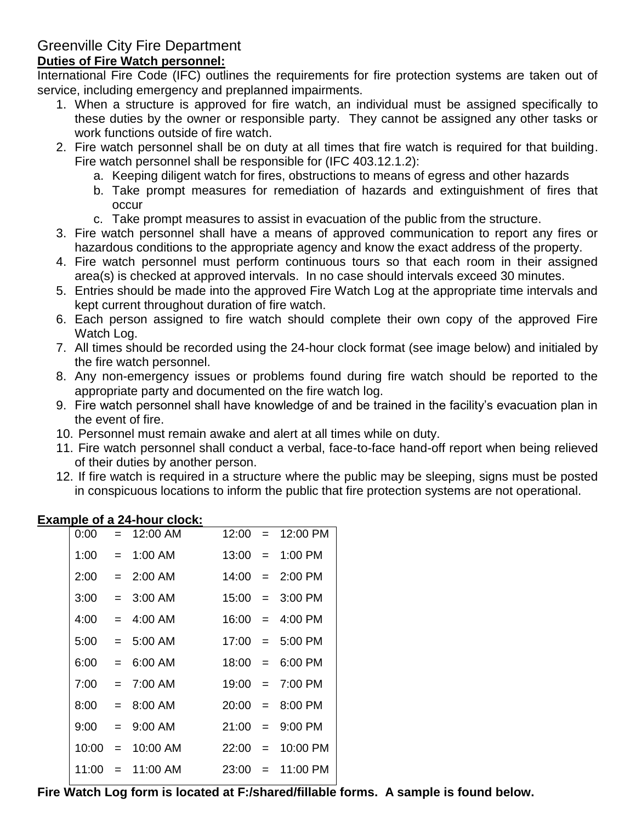# Greenville City Fire Department

## **Duties of Fire Watch personnel:**

International Fire Code (IFC) outlines the requirements for fire protection systems are taken out of service, including emergency and preplanned impairments.

- 1. When a structure is approved for fire watch, an individual must be assigned specifically to these duties by the owner or responsible party. They cannot be assigned any other tasks or work functions outside of fire watch.
- 2. Fire watch personnel shall be on duty at all times that fire watch is required for that building. Fire watch personnel shall be responsible for (IFC 403.12.1.2):
	- a. Keeping diligent watch for fires, obstructions to means of egress and other hazards
	- b. Take prompt measures for remediation of hazards and extinguishment of fires that occur
	- c. Take prompt measures to assist in evacuation of the public from the structure.
- 3. Fire watch personnel shall have a means of approved communication to report any fires or hazardous conditions to the appropriate agency and know the exact address of the property.
- 4. Fire watch personnel must perform continuous tours so that each room in their assigned area(s) is checked at approved intervals. In no case should intervals exceed 30 minutes.
- 5. Entries should be made into the approved Fire Watch Log at the appropriate time intervals and kept current throughout duration of fire watch.
- 6. Each person assigned to fire watch should complete their own copy of the approved Fire Watch Log.
- 7. All times should be recorded using the 24-hour clock format (see image below) and initialed by the fire watch personnel.
- 8. Any non-emergency issues or problems found during fire watch should be reported to the appropriate party and documented on the fire watch log.
- 9. Fire watch personnel shall have knowledge of and be trained in the facility's evacuation plan in the event of fire.
- 10. Personnel must remain awake and alert at all times while on duty.
- 11. Fire watch personnel shall conduct a verbal, face-to-face hand-off report when being relieved of their duties by another person.
- 12. If fire watch is required in a structure where the public may be sleeping, signs must be posted in conspicuous locations to inform the public that fire protection systems are not operational.

|  | $x^2 - y^2 = 0$ and $y^2 - y^2 = 0$   |  |                            |
|--|---------------------------------------|--|----------------------------|
|  | $0:00 = 12:00$ AM                     |  | $12:00 = 12:00 \text{ PM}$ |
|  | $1:00 = 1:00$ AM                      |  | $13:00 = 1:00 \text{ PM}$  |
|  | $2:00 = 2:00$ AM                      |  | $14:00 = 2:00 \text{ PM}$  |
|  | $3:00 = 3:00$ AM $15:00 = 3:00$ PM    |  |                            |
|  | $4:00 = 4:00$ AM                      |  | $16:00 = 4:00 \text{ PM}$  |
|  | $5:00 = 5:00$ AM $17:00 = 5:00$ PM    |  |                            |
|  | $6:00 = 6:00$ AM                      |  | $18:00 = 6:00 \text{ PM}$  |
|  | $7:00 = 7:00$ AM $19:00 = 7:00$ PM    |  |                            |
|  | $8:00 = 8:00$ AM $20:00 = 8:00$ PM    |  |                            |
|  | $9:00 = 9:00$ AM $21:00 = 9:00$ PM    |  |                            |
|  | $10:00 = 10:00$ AM $22:00 = 10:00$ PM |  |                            |
|  | $11:00 = 11:00$ AM $23:00 = 11:00$ PM |  |                            |

#### **Example of a 24-hour clock:**

**Fire Watch Log form is located at F:/shared/fillable forms. A sample is found below.**